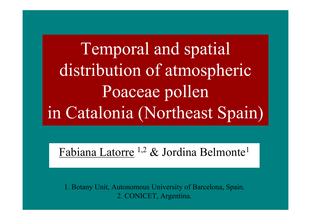Temporal and spatial distribution of atmospheric Poaceae pollen in Catalonia (Northeast Spain)

Fabiana Latorre <sup>1,2</sup> & Jordina Belmonte<sup>1</sup>

1. Botany Unit, Autonomous University of Barcelona, Spain. 2. CONICET, Argentina.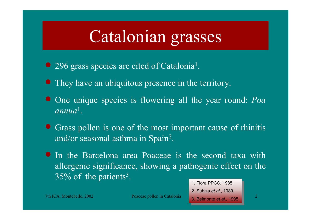## Catalonian grasses

- 296 grass species are cited of Catalonia<sup>1</sup>.
- They have an ubiquitous presence in the territory.
- One unique species is flowering all the year round: *Poa annua*1.
- Grass pollen is one of the most important cause of rhinitis and/or seasonal asthma in Spain 2.
- In the Barcelona area Poaceae is the second taxa with allergenic significance, showing a pathogenic effect on the 35% of the patients<sup>3</sup>.

1. Flora PPCC, 1985. 1. Flora PPCC, 1985. 2. Subiza *et al*., 1989. 2. Subiza *et al*., 1989.

3. Belmonte *et al*., 1995 3. Belmonte *et al*., 1995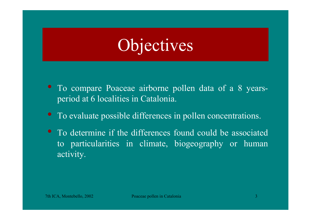# Objectives

- To compare Poaceae airborne pollen data of a 8 yearsperiod at 6 localities in Catalonia.
- To evaluate possible differences in pollen concentrations.
- To determine if the differences found could be associatedto particularities in climate, biogeography or human activity.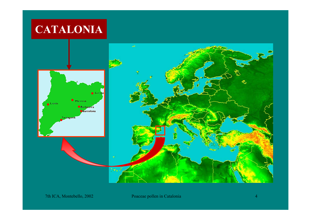#### **CATALONIA**

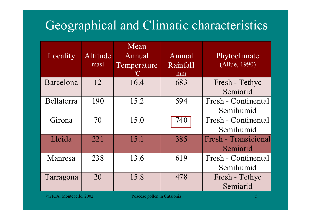#### Geographical and Climatic characteristics

| Locality   | Altitude<br>masl | Mean<br>Annual<br>Temperature<br>$\rm ^{o}C$ | Annual<br>Rainfall<br>mm | Phytoclimate<br>(Allue, 1990) |
|------------|------------------|----------------------------------------------|--------------------------|-------------------------------|
| Barcelona  | 12               | 16.4                                         | 683                      | Fresh - Tethyc                |
|            |                  |                                              |                          | Semiarid                      |
| Bellaterra | 190              | 15.2                                         | 594                      | Fresh - Continental           |
|            |                  |                                              |                          | Semihumid                     |
| Girona     | 70               | 15.0                                         | $\overline{740}$         | Fresh - Continental           |
|            |                  |                                              |                          | Semihumid                     |
| Lleida     | 221              | 15.1                                         | 385                      | Fresh - Transicional          |
|            |                  |                                              |                          | Semiarid                      |
| Manresa    | 238              | 13.6                                         | 619                      | Fresh - Continental           |
|            |                  |                                              |                          | Semihumid                     |
| Tarragona  | 20               | 15.8                                         | 478                      | Fresh - Tethyc                |
|            |                  |                                              |                          | Semiarid                      |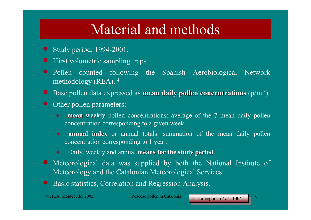## Material and methods

- Study period: 1994-2001.
- **•** Hirst volumetric sampling traps.
- Pollen counted following the Spanish Aerobiological Network methodology (REA). 4
- Base pollen data expressed as **mean daily pollen concentrations** (p/m<sup>3</sup>).
- Other pollen parameters:
	- •**mean weekly** pollen concentrations: average of the 7 mean daily pollen concentration corresponding to a given week.
	- •**• annual index** or annual totals: summation of the mean daily pollen concentration corresponding to 1 year.
	- Daily, weekly and annual **means for the study period**.
- Meteorological data was supplied by both the National Institute of Meteorology and the Catalonian Meteorological Services.
- $\bullet$ Basic statistics, Correlation and Regression Analysis.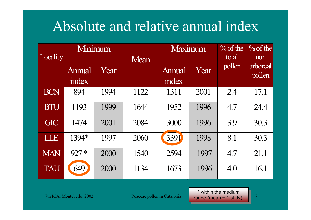## Absolute and relative annual index

| Locality   | Minimum         |      | Mean | Maximum         |      | $\%$ of the<br>total | $\%$ of the<br>non |
|------------|-----------------|------|------|-----------------|------|----------------------|--------------------|
|            | Annual<br>index | Year |      | Annual<br>index | Year | pollen               | arboreal<br>pollen |
| <b>BCN</b> | 894             | 1994 | 1122 | 1311            | 2001 | 2.4                  | 17.1               |
| <b>BTU</b> | 1193            | 1999 | 1644 | 1952            | 1996 | 4.7                  | 24.4               |
| <b>GIC</b> | 1474            | 2001 | 2084 | 3000            | 1996 | 3.9                  | 30.3               |
| LLE        | 1394*           | 1997 | 2060 | 3391            | 1998 | 8.1                  | 30.3               |
| <b>MAN</b> | $927 *$         | 2000 | 1540 | 2594            | 1997 | 4.7                  | 21.1               |
| <b>TAU</b> | 649             | 2000 | 1134 | 1673            | 1996 | 4.0                  | 16.1               |

7th ICA, Montebello, 2002 Poaceae pollen in Catalonia **Proprietation Catalonia** 7 **\*** within the medium range (mean <sup>±</sup> 1 st dv). range (mean ± 1 st dv).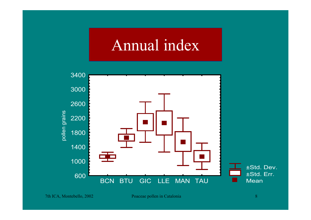## Annual index

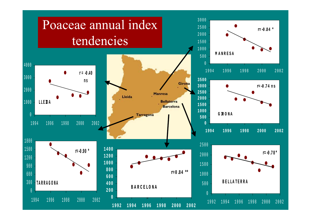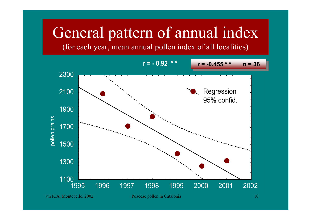# General pattern of annual index

(for each year, mean annual pollen index of all localities)

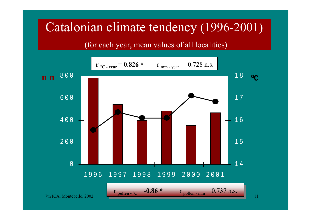#### Catalonian climate tendency (1996-2001)

(for each year, mean values of all localities)

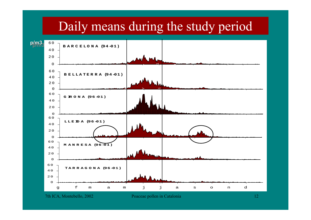#### Daily means during the study period

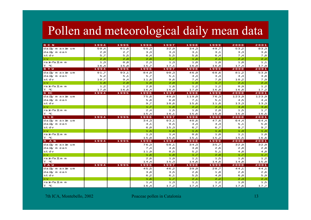#### Pollen and meteorological daily mean data

| BCN                               | 1994 | 1995 | 1996     | 1997 | 1998  | 1999  | 2000           | 2001    |
|-----------------------------------|------|------|----------|------|-------|-------|----------------|---------|
| daily m axim um                   | 50,4 | 61,6 | 5, 5 $5$ | 32,9 | 34,3  | 49.7  | 5 3 , 2        | 8 3 , 3 |
| daily mean                        | 2,9  | 2,7  | 3,3      | 3,3  | 3,1   | 3,1   | 3,3            | 3,6     |
| stdv                              | 5,7  | 5,5  | $6,4$    | 5,5  | 5,6   | $6,4$ | 7,4            | 7,8     |
| cv                                | 2,0  | 2,0  | 2,0      | 1,7  | 1,8   | 2,1   | 2,2            | 2,2     |
| ra in fall m m                    | 1,3  | 8,0  | 2,3      | 1,3  | 1,0   | 1,0   | 1,0            | 1,1     |
| $T^{\circ}$ °C                    | 16A  | 15,8 | 15,7     | 17,1 | 16,9  | 16,8  | 17A            | 17,9    |
| B TU                              | 1994 | 1995 | 1996     | 1997 | 1998  | 1999  | 2000           | 2001    |
| daily maximum                     | 91,7 | 93,1 | 84,0     | 90,3 | 46,9  | 68,6  | 81,2           | 53,9    |
| daily mean                        | 5,2  | 5,1  | 5,7      | 5,1  | 4,4   | 3,4   | 4A             | 3,8     |
| st dv                             | 10,7 | 9,4  | 11,6     | 9,6  | 7,4   | 7,0   | 10,2           | 7,9     |
| cv                                | 1,6  | 2,0  | 1,9      | 2,0  | 1,9   | 1,7   | 2 <sub>1</sub> | 2,3     |
| ra in fall m m                    | 1,2  | 1,2  | 2,8      | 1,6  | 1,2   | 1,2   | Q, Q           | 1,2     |
| $T^{\circ}$ °C                    | 17,0 | 16,6 | 16A      | 16,8 | 17,0  | 16,8  | 16,8           | 17,2    |
| G IC                              | 1994 | 1995 | 1996     | 1997 | 1998  | 1999  | 2000           | 2001    |
| daily maximum                     |      |      | 75,6     | 49,0 | 119,0 | 76,3  | 123,9          | 123,9   |
| daily mean                        |      |      | 5,8      | 6, 6 | 7,1   | 5,1   | 4,5            | 4,4     |
| stdv                              |      |      | 9,7      | 10,6 | 15,6  | 11,6  | 13,3           | 13,3    |
| <b>CV</b>                         |      |      | 1,7      | 1,8  | 2, 2  | 2,3   | 3 <sub>o</sub> | 3,0     |
| ra in fall m m                    |      |      | 2A       | 1,5  | 1,6   | 0, 2  | 1,5            | 1,7     |
| $T^{\circ}$ °C                    |      |      | 15A      | 16,1 | 15,6  | 15,8  | 15,9           | 16,5    |
| LLE                               | 1994 | 1995 | 1996     | 1997 | 1998  | 1999  | 2000           | 2001    |
| daily m axim um                   |      |      | 34,3     | 93,1 | 40,6  | 47,6  | 64,4           | 64,4    |
| daily mean                        |      |      | 4,1      | 9,5  | 4,4   | 4,3   | 5,1            | 5, Q    |
| stdv                              |      |      | G., a    | 15,3 | 6,7   | 6,7   | 9,7            | 9,7     |
| <b>CV</b>                         |      |      | 1,5      | 1,6  | 1,5   | 1,6   | 1,9            | 1,9     |
| rainfallmm                        |      |      | 1,3      | 1,4  | 0,6   | 1,0   | 1,1            | 1,0     |
| $\ensuremath{\mathrm{T}}$ $\,$ °C |      |      | 15,0     | 15,6 | 15,1  | 15,2  | 15,5           | 16,6    |
| M A N                             | 1994 | 1995 | 1996     | 1997 | 1998  | 1999  | 2000           | 2001    |
| daily m axim um                   |      |      | 76,3     | 58,1 | 34,3  | 35,7  | 32,9           | 32,9    |
| daily mean                        |      |      | 7,4      | 4,6  | 3,0   | 2,6   | 2,8            | 2,8     |
| stdv                              |      |      | 11,9     | 8,5  | 5,2   | 5,1   | 4,8            | 8, 4    |
| <b>CV</b>                         |      |      | 1,6      | 1,8  | 1,7   | 2,0   | 1,7            | 1,7     |
| ra in fall m m                    |      |      | 2,6      | 1,9  | 1, 1  | 1,5   | 1,6            | 1,2     |
| $\ensuremath{\mathrm{T}}$ $\,$ °C |      |      | 14,4     | 15,3 | 14,6  | 14,6  | 14,8           | 15,0    |
| <b>TAU</b>                        | 1994 | 1995 | 1996     | 1997 | 1998  | 1999  | 2000           | 2001    |
| daily m axim um                   |      |      | 45,5     | 46,2 | 39.9  | 28.7  | 44.1           | 4 4 L   |
| daily mean                        |      |      | 3,8      | 3,5  | 2,6   | 1,8   | 2,6            | 2,6     |
| stdv                              |      |      | 6,2      | 6,1  | 5,5   | 4,0   | G, a           | 5, 8    |
| c v                               |      |      | 1,6      | 1,7  | 2,1   | 2,2   | 2,3            | 2,3     |
| rainfallmm                        |      |      | 1,4      | 1,3  | 1,1   | 1,2   | 1, O           | 1,5     |
| $\ensuremath{\mathrm{T}}$ $\,$ °C |      |      | 16A      | 17,2 | 17A   | 17A   | 17,6           | 17,7    |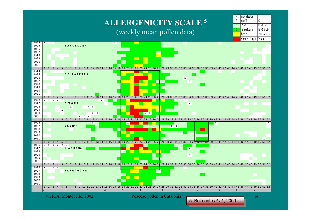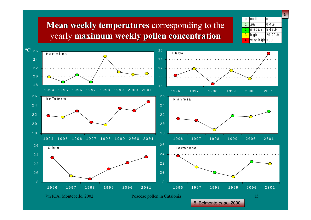#### **Mean weekly temperatures** corresponding to the yearly **maximum weekly pollen concentration maximum weekly pollen concentration**



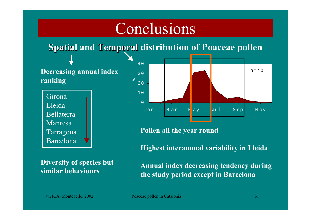## Conclusions

#### **Spatial and Temporal distribution of Poaceae pollen**

4 0

**Decreasing annual index ranking**

 Girona Lleida Bellaterra Manresa Tarragona Barcelona

 $n=40$  $\overline{0}$ 1 02 03 0Jan Mar M<mark>ay Jul Sep</mark> Nov  $o$ 

**Pollen all the year round**

**Diversity of species but similar behaviours**

**Highest interannual variability in Lleida**

**Annual index decreasing tendency during the study period except in Barcelona**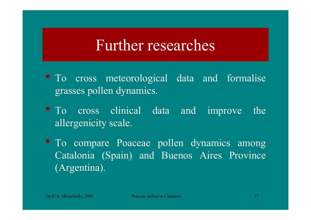## Further researches

- To cross meteorological data and formalise grasses pollen dynamics.
- To cross clinical data and improve the allergenicity scale.
- To compare Poaceae pollen dynamics among Catalonia (Spain) and Buenos Aires Province (Argentina).